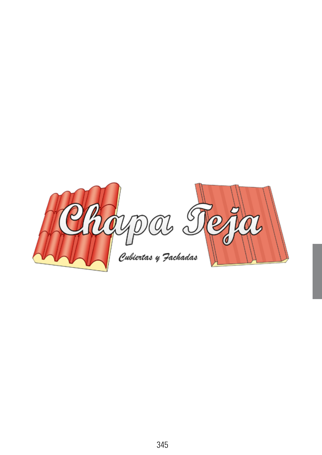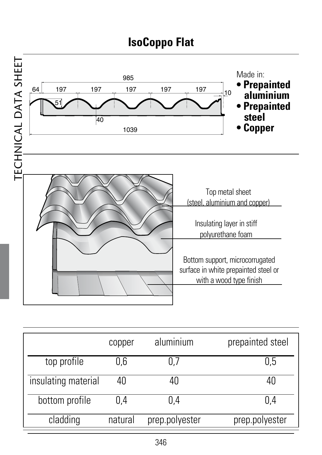

|                     | copper  | aluminium      | prepainted steel |
|---------------------|---------|----------------|------------------|
| top profile         | 0.6     | 0.7            | 0.5              |
| insulating material | 40      | 40             |                  |
| bottom profile      | 0.4     | 0.4            | 0.4              |
| cladding            | natural | prep.polyester | prep.polyester   |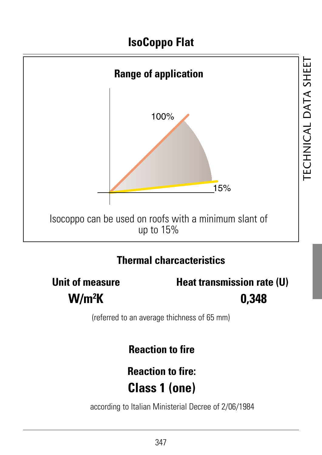

#### **Thermal charcacteristics**

**W/m2**

**Unit of measure Heat transmission rate (U) K 0,348**

(referred to an average thichness of 65 mm)

**Reaction to fire**

# **Reaction to fire: Class 1 (one)**

according to Italian Ministerial Decree of 2/06/1984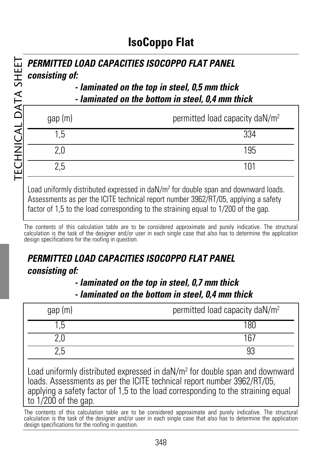#### **PERMITTED LOAD CAPACITIES ISOCOPPO FLAT PANEL consisting of:**

#### **- laminated on the top in steel, 0,5 mm thick - laminated on the bottom in steel, 0,4 mm thick**

| gap (m) | permitted load capacity daN/m <sup>2</sup> |
|---------|--------------------------------------------|
| .5      | 334                                        |
| 2.0     | 195                                        |
| 2.5     | 101                                        |
|         |                                            |

Load uniformly distributed expressed in daN/m<sup>2</sup> for double span and downward loads. Assessments as per the ICITE technical report number 3962/RT/05, applying a safety factor of 1.5 to the load corresponding to the straining equal to 1/200 of the gap.

The contents of this calculation table are to be considered approximate and purely indicative. The structural calculation is the task of the designer and/or user in each single case that also has to determine the application design specifications for the roofing in question.

#### **PERMITTED LOAD CAPACITIES ISOCOPPO FLAT PANEL consisting of:**

#### **- laminated on the top in steel, 0,7 mm thick - laminated on the bottom in steel, 0,4 mm thick**

| gap (m) | permitted load capacity daN/m <sup>2</sup> |
|---------|--------------------------------------------|
|         | 180                                        |
|         | 167                                        |
|         |                                            |

Load uniformly distributed expressed in daN/m<sup>2</sup> for double span and downward loads. Assessments as per the ICITE technical report number 3962/RT/05, applying a safety factor of 1,5 to the load corresponding to the straining equal to 1/200 of the gap.

The contents of this calculation table are to be considered approximate and purely indicative. The structural calculation is the task of the designer and/or user in each single case that also has to determine the application design specifications for the roofing in question.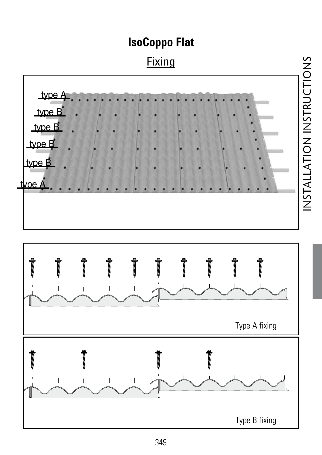

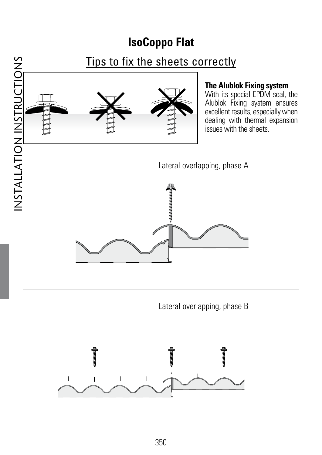

Lateral overlapping, phase B

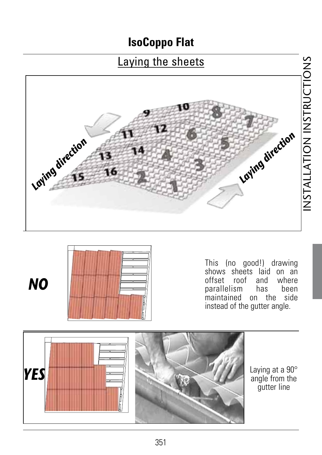# Laying the sheets





*NO*

This (no good!) drawing shows sheets laid on an offset roof and where<br>parallelism has been parallelism maintained on the side instead of the gutter angle.



Laying at a 90° angle from the gutter line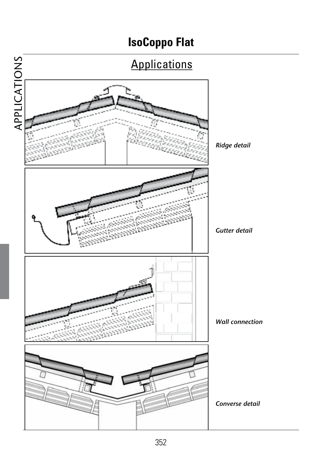